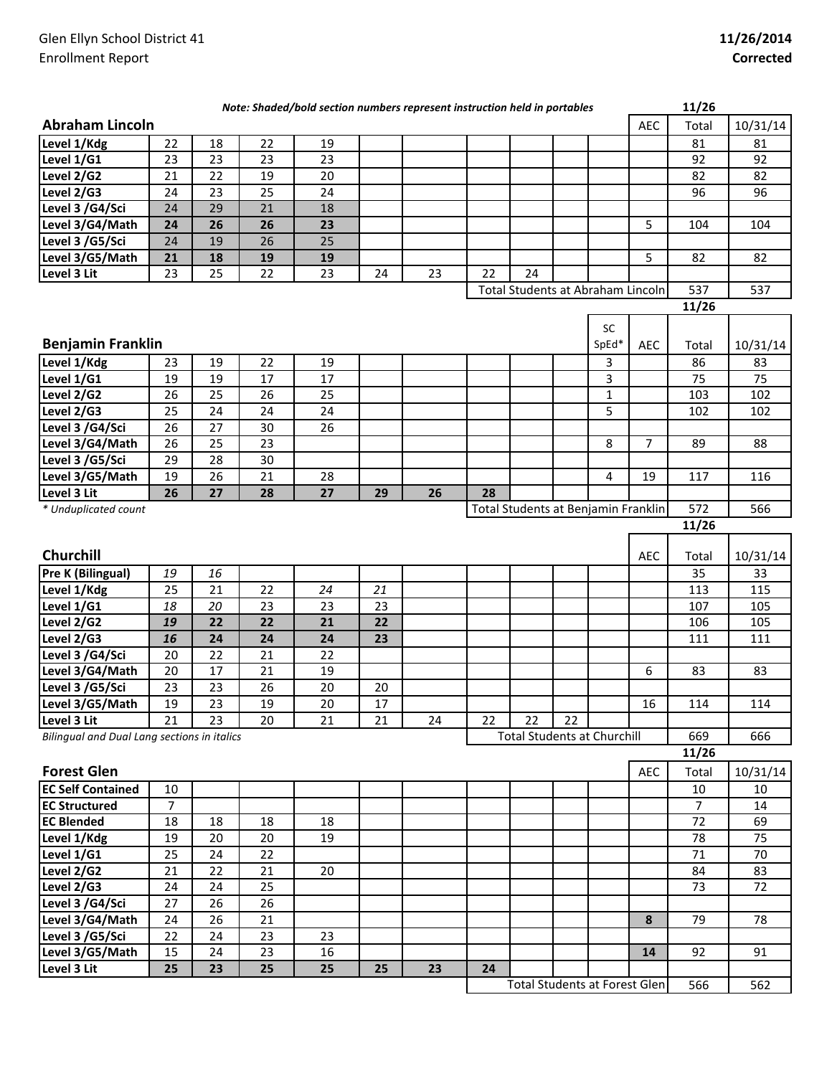|                                             |                |    |    | Note: Shaded/bold section numbers represent instruction held in portables |    |    |    |                                      |    |             |                | 11/26          |          |
|---------------------------------------------|----------------|----|----|---------------------------------------------------------------------------|----|----|----|--------------------------------------|----|-------------|----------------|----------------|----------|
| <b>Abraham Lincoln</b>                      |                |    |    |                                                                           |    |    |    |                                      |    |             | <b>AEC</b>     | Total          | 10/31/14 |
| Level 1/Kdg                                 | 22             | 18 | 22 | 19                                                                        |    |    |    |                                      |    |             |                | 81             | 81       |
| Level 1/G1                                  | 23             | 23 | 23 | 23                                                                        |    |    |    |                                      |    |             |                | 92             | 92       |
| Level 2/G2                                  | 21             | 22 | 19 | 20                                                                        |    |    |    |                                      |    |             |                | 82             | 82       |
| Level 2/G3                                  | 24             | 23 | 25 | 24                                                                        |    |    |    |                                      |    |             |                | 96             | 96       |
| Level 3 /G4/Sci                             | 24             | 29 | 21 | 18                                                                        |    |    |    |                                      |    |             |                |                |          |
| Level 3/G4/Math                             | 24             | 26 | 26 | 23                                                                        |    |    |    |                                      |    |             | 5              | 104            | 104      |
| Level 3 /G5/Sci                             | 24             | 19 | 26 | 25                                                                        |    |    |    |                                      |    |             |                |                |          |
| Level 3/G5/Math                             | 21             | 18 | 19 | 19                                                                        |    |    |    |                                      |    |             | 5              | 82             | 82       |
| Level 3 Lit                                 | 23             | 25 | 22 | 23                                                                        | 24 | 23 | 22 | 24                                   |    |             |                |                |          |
|                                             |                |    |    |                                                                           |    |    |    | Total Students at Abraham Lincoln    |    |             |                | 537            | 537      |
|                                             |                |    |    |                                                                           |    |    |    |                                      |    |             |                | 11/26          |          |
|                                             |                |    |    |                                                                           |    |    |    |                                      |    | SC          |                |                |          |
| <b>Benjamin Franklin</b>                    |                |    |    |                                                                           |    |    |    |                                      |    | SpEd*       | <b>AEC</b>     | Total          | 10/31/14 |
| Level 1/Kdg                                 | 23             | 19 | 22 | 19                                                                        |    |    |    |                                      |    | 3           |                | 86             | 83       |
| Level 1/G1                                  | 19             | 19 | 17 | 17                                                                        |    |    |    |                                      |    | 3           |                | 75             | 75       |
| Level 2/G2                                  | 26             | 25 | 26 | 25                                                                        |    |    |    |                                      |    | $\mathbf 1$ |                | 103            | 102      |
| Level 2/G3                                  | 25             | 24 | 24 | 24                                                                        |    |    |    |                                      |    | 5           |                | 102            | 102      |
| Level 3 /G4/Sci                             | 26             | 27 | 30 | 26                                                                        |    |    |    |                                      |    |             |                |                |          |
| Level 3/G4/Math                             | 26             | 25 | 23 |                                                                           |    |    |    |                                      |    | 8           | $\overline{7}$ | 89             | 88       |
| Level 3 /G5/Sci                             | 29             | 28 | 30 |                                                                           |    |    |    |                                      |    |             |                |                |          |
| Level 3/G5/Math                             | 19             | 26 | 21 | 28                                                                        |    |    |    |                                      |    | 4           | 19             | 117            | 116      |
| Level 3 Lit                                 | 26             | 27 | 28 | 27                                                                        | 29 | 26 | 28 |                                      |    |             |                |                |          |
| * Unduplicated count                        |                |    |    |                                                                           |    |    |    | Total Students at Benjamin Franklin  |    |             |                | 572            | 566      |
|                                             |                |    |    |                                                                           |    |    |    |                                      |    |             |                | 11/26          |          |
| Churchill                                   |                |    |    |                                                                           |    |    |    |                                      |    |             | AEC            | Total          | 10/31/14 |
| Pre K (Bilingual)                           | 19             | 16 |    |                                                                           |    |    |    |                                      |    |             |                | 35             | 33       |
| Level 1/Kdg                                 | 25             | 21 | 22 | 24                                                                        | 21 |    |    |                                      |    |             |                | 113            | 115      |
| Level 1/G1                                  | 18             | 20 | 23 | 23                                                                        | 23 |    |    |                                      |    |             |                | 107            | 105      |
| Level 2/G2                                  | 19             | 22 | 22 | 21                                                                        | 22 |    |    |                                      |    |             |                | 106            | 105      |
| Level 2/G3                                  | 16             | 24 | 24 | 24                                                                        | 23 |    |    |                                      |    |             |                | 111            | 111      |
| Level 3 /G4/Sci                             | 20             | 22 | 21 | 22                                                                        |    |    |    |                                      |    |             |                |                |          |
| Level 3/G4/Math                             | 20             | 17 | 21 | 19                                                                        |    |    |    |                                      |    |             | 6              | 83             | 83       |
| Level 3 /G5/Sci                             | 23             | 23 | 26 | 20                                                                        | 20 |    |    |                                      |    |             |                |                |          |
| Level 3/G5/Math                             | 19             | 23 | 19 | 20                                                                        | 17 |    |    |                                      |    |             | 16             | 114            | 114      |
| Level 3 Lit                                 | 21             | 23 | 20 | 21                                                                        | 21 | 24 | 22 | 22                                   | 22 |             |                |                |          |
| Bilingual and Dual Lang sections in italics |                |    |    |                                                                           |    |    |    | <b>Total Students at Churchill</b>   |    |             |                | 669            | 666      |
|                                             |                |    |    |                                                                           |    |    |    |                                      |    |             |                | 11/26          |          |
| <b>Forest Glen</b>                          |                |    |    |                                                                           |    |    |    |                                      |    |             | AEC            | Total          | 10/31/14 |
| <b>EC Self Contained</b>                    | 10             |    |    |                                                                           |    |    |    |                                      |    |             |                | 10             | 10       |
| <b>EC Structured</b>                        | $\overline{7}$ |    |    |                                                                           |    |    |    |                                      |    |             |                | $\overline{7}$ | 14       |
| <b>EC Blended</b>                           | 18             | 18 | 18 | 18                                                                        |    |    |    |                                      |    |             |                | 72             | 69       |
| Level 1/Kdg                                 | 19             | 20 | 20 | 19                                                                        |    |    |    |                                      |    |             |                | 78             | 75       |
| Level $1/G1$                                | 25             | 24 | 22 |                                                                           |    |    |    |                                      |    |             |                | 71             | 70       |
| Level 2/G2                                  | 21             | 22 | 21 | 20                                                                        |    |    |    |                                      |    |             |                | 84             | 83       |
| Level 2/G3                                  | 24             | 24 | 25 |                                                                           |    |    |    |                                      |    |             |                | 73             | 72       |
| Level 3 /G4/Sci                             | 27             | 26 | 26 |                                                                           |    |    |    |                                      |    |             |                |                |          |
| Level 3/G4/Math                             | 24             | 26 | 21 |                                                                           |    |    |    |                                      |    |             | 8              | 79             | 78       |
| Level 3 /G5/Sci                             | 22             | 24 | 23 | 23                                                                        |    |    |    |                                      |    |             |                |                |          |
| Level 3/G5/Math                             | 15             | 24 | 23 | 16                                                                        |    |    |    |                                      |    |             | 14             | 92             | 91       |
| Level 3 Lit                                 | 25             | 23 | 25 | 25                                                                        | 25 | 23 | 24 |                                      |    |             |                |                |          |
|                                             |                |    |    |                                                                           |    |    |    | <b>Total Students at Forest Glen</b> |    |             |                | 566            | 562      |